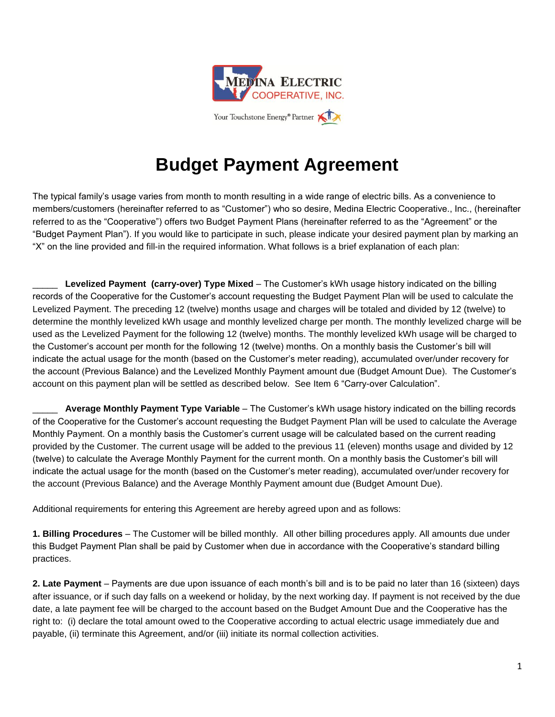

Your Touchstone Energy<sup>®</sup> Partner

## **Budget Payment Agreement**

The typical family's usage varies from month to month resulting in a wide range of electric bills. As a convenience to members/customers (hereinafter referred to as "Customer") who so desire, Medina Electric Cooperative., Inc., (hereinafter referred to as the "Cooperative") offers two Budget Payment Plans (hereinafter referred to as the "Agreement" or the "Budget Payment Plan"). If you would like to participate in such, please indicate your desired payment plan by marking an "X" on the line provided and fill-in the required information. What follows is a brief explanation of each plan:

\_\_\_\_\_ **Levelized Payment (carry-over) Type Mixed** – The Customer's kWh usage history indicated on the billing records of the Cooperative for the Customer's account requesting the Budget Payment Plan will be used to calculate the Levelized Payment. The preceding 12 (twelve) months usage and charges will be totaled and divided by 12 (twelve) to determine the monthly levelized kWh usage and monthly levelized charge per month. The monthly levelized charge will be used as the Levelized Payment for the following 12 (twelve) months. The monthly levelized kWh usage will be charged to the Customer's account per month for the following 12 (twelve) months. On a monthly basis the Customer's bill will indicate the actual usage for the month (based on the Customer's meter reading), accumulated over/under recovery for the account (Previous Balance) and the Levelized Monthly Payment amount due (Budget Amount Due). The Customer's account on this payment plan will be settled as described below. See Item 6 "Carry-over Calculation".

\_\_\_\_\_ **Average Monthly Payment Type Variable** – The Customer's kWh usage history indicated on the billing records of the Cooperative for the Customer's account requesting the Budget Payment Plan will be used to calculate the Average Monthly Payment. On a monthly basis the Customer's current usage will be calculated based on the current reading provided by the Customer. The current usage will be added to the previous 11 (eleven) months usage and divided by 12 (twelve) to calculate the Average Monthly Payment for the current month. On a monthly basis the Customer's bill will indicate the actual usage for the month (based on the Customer's meter reading), accumulated over/under recovery for the account (Previous Balance) and the Average Monthly Payment amount due (Budget Amount Due).

Additional requirements for entering this Agreement are hereby agreed upon and as follows:

**1. Billing Procedures** – The Customer will be billed monthly. All other billing procedures apply. All amounts due under this Budget Payment Plan shall be paid by Customer when due in accordance with the Cooperative's standard billing practices.

**2. Late Payment** – Payments are due upon issuance of each month's bill and is to be paid no later than 16 (sixteen) days after issuance, or if such day falls on a weekend or holiday, by the next working day. If payment is not received by the due date, a late payment fee will be charged to the account based on the Budget Amount Due and the Cooperative has the right to: (i) declare the total amount owed to the Cooperative according to actual electric usage immediately due and payable, (ii) terminate this Agreement, and/or (iii) initiate its normal collection activities.